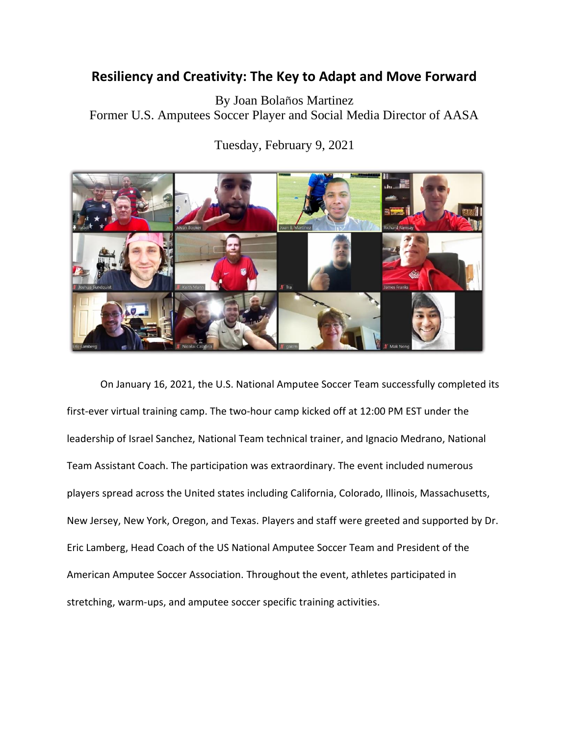## **Resiliency and Creativity: The Key to Adapt and Move Forward**

By Joan Bolaños Martinez Former U.S. Amputees Soccer Player and Social Media Director of AASA

Tuesday, February 9, 2021



On January 16, 2021, the U.S. National Amputee Soccer Team successfully completed its first-ever virtual training camp. The two-hour camp kicked off at 12:00 PM EST under the leadership of Israel Sanchez, National Team technical trainer, and Ignacio Medrano, National Team Assistant Coach. The participation was extraordinary. The event included numerous players spread across the United states including California, Colorado, Illinois, Massachusetts, New Jersey, New York, Oregon, and Texas. Players and staff were greeted and supported by Dr. Eric Lamberg, Head Coach of the US National Amputee Soccer Team and President of the American Amputee Soccer Association. Throughout the event, athletes participated in stretching, warm-ups, and amputee soccer specific training activities.